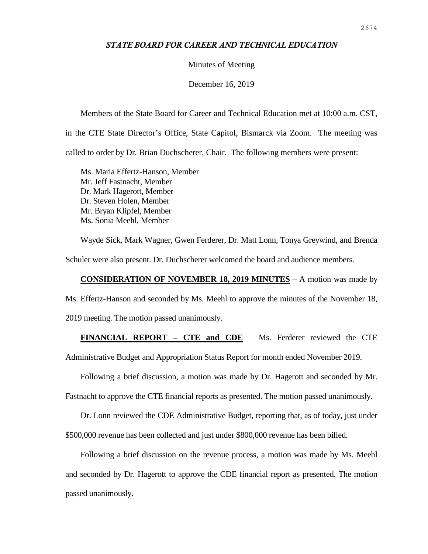## *STATE BOARD FOR CAREER AND TECHNICAL EDUCATION*

## Minutes of Meeting

December 16, 2019

Members of the State Board for Career and Technical Education met at 10:00 a.m. CST, in the CTE State Director's Office, State Capitol, Bismarck via Zoom. The meeting was called to order by Dr. Brian Duchscherer, Chair. The following members were present:

Ms. Maria Effertz-Hanson, Member Mr. Jeff Fastnacht, Member Dr. Mark Hagerott, Member Dr. Steven Holen, Member Mr. Bryan Klipfel, Member Ms. Sonia Meehl, Member

Wayde Sick, Mark Wagner, Gwen Ferderer, Dr. Matt Lonn, Tonya Greywind, and Brenda Schuler were also present. Dr. Duchscherer welcomed the board and audience members.

## **CONSIDERATION OF NOVEMBER 18, 2019 MINUTES** – A motion was made by Ms. Effertz-Hanson and seconded by Ms. Meehl to approve the minutes of the November 18,

2019 meeting. The motion passed unanimously.

## **FINANCIAL REPORT – CTE and CDE** – Ms. Ferderer reviewed the CTE

Administrative Budget and Appropriation Status Report for month ended November 2019.

Following a brief discussion, a motion was made by Dr. Hagerott and seconded by Mr.

Fastnacht to approve the CTE financial reports as presented. The motion passed unanimously.

Dr. Lonn reviewed the CDE Administrative Budget, reporting that, as of today, just under \$500,000 revenue has been collected and just under \$800,000 revenue has been billed.

Following a brief discussion on the revenue process, a motion was made by Ms. Meehl and seconded by Dr. Hagerott to approve the CDE financial report as presented. The motion passed unanimously.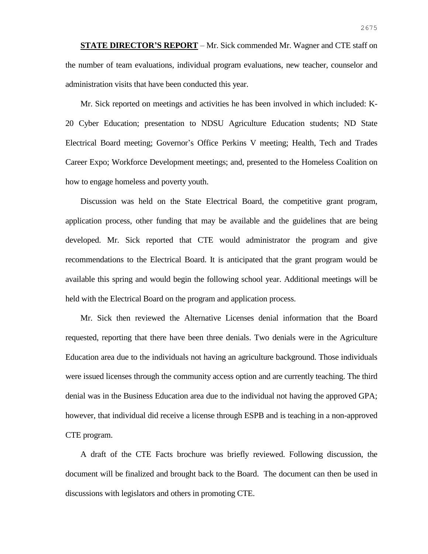**STATE DIRECTOR'S REPORT** – Mr. Sick commended Mr. Wagner and CTE staff on the number of team evaluations, individual program evaluations, new teacher, counselor and administration visits that have been conducted this year.

Mr. Sick reported on meetings and activities he has been involved in which included: K-20 Cyber Education; presentation to NDSU Agriculture Education students; ND State Electrical Board meeting; Governor's Office Perkins V meeting; Health, Tech and Trades Career Expo; Workforce Development meetings; and, presented to the Homeless Coalition on how to engage homeless and poverty youth.

Discussion was held on the State Electrical Board, the competitive grant program, application process, other funding that may be available and the guidelines that are being developed. Mr. Sick reported that CTE would administrator the program and give recommendations to the Electrical Board. It is anticipated that the grant program would be available this spring and would begin the following school year. Additional meetings will be held with the Electrical Board on the program and application process.

Mr. Sick then reviewed the Alternative Licenses denial information that the Board requested, reporting that there have been three denials. Two denials were in the Agriculture Education area due to the individuals not having an agriculture background. Those individuals were issued licenses through the community access option and are currently teaching. The third denial was in the Business Education area due to the individual not having the approved GPA; however, that individual did receive a license through ESPB and is teaching in a non-approved CTE program.

A draft of the CTE Facts brochure was briefly reviewed. Following discussion, the document will be finalized and brought back to the Board. The document can then be used in discussions with legislators and others in promoting CTE.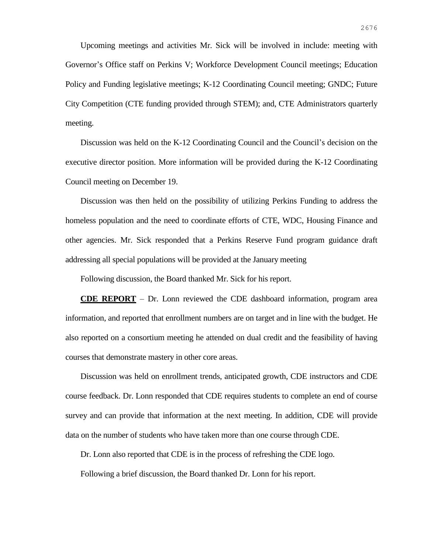Upcoming meetings and activities Mr. Sick will be involved in include: meeting with Governor's Office staff on Perkins V; Workforce Development Council meetings; Education Policy and Funding legislative meetings; K-12 Coordinating Council meeting; GNDC; Future City Competition (CTE funding provided through STEM); and, CTE Administrators quarterly meeting.

Discussion was held on the K-12 Coordinating Council and the Council's decision on the executive director position. More information will be provided during the K-12 Coordinating Council meeting on December 19.

Discussion was then held on the possibility of utilizing Perkins Funding to address the homeless population and the need to coordinate efforts of CTE, WDC, Housing Finance and other agencies. Mr. Sick responded that a Perkins Reserve Fund program guidance draft addressing all special populations will be provided at the January meeting

Following discussion, the Board thanked Mr. Sick for his report.

**CDE REPORT** – Dr. Lonn reviewed the CDE dashboard information, program area information, and reported that enrollment numbers are on target and in line with the budget. He also reported on a consortium meeting he attended on dual credit and the feasibility of having courses that demonstrate mastery in other core areas.

Discussion was held on enrollment trends, anticipated growth, CDE instructors and CDE course feedback. Dr. Lonn responded that CDE requires students to complete an end of course survey and can provide that information at the next meeting. In addition, CDE will provide data on the number of students who have taken more than one course through CDE.

Dr. Lonn also reported that CDE is in the process of refreshing the CDE logo.

Following a brief discussion, the Board thanked Dr. Lonn for his report.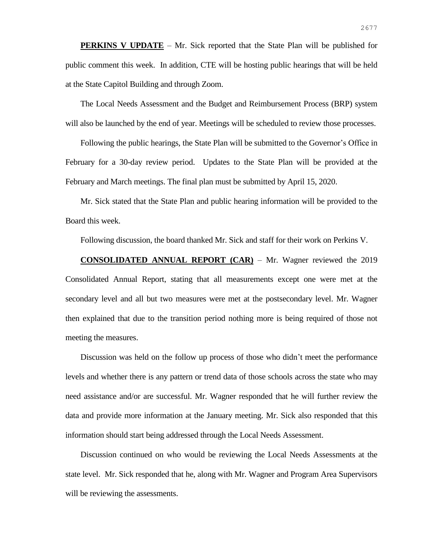**PERKINS V UPDATE** – Mr. Sick reported that the State Plan will be published for public comment this week. In addition, CTE will be hosting public hearings that will be held at the State Capitol Building and through Zoom.

The Local Needs Assessment and the Budget and Reimbursement Process (BRP) system will also be launched by the end of year. Meetings will be scheduled to review those processes.

Following the public hearings, the State Plan will be submitted to the Governor's Office in February for a 30-day review period. Updates to the State Plan will be provided at the February and March meetings. The final plan must be submitted by April 15, 2020.

Mr. Sick stated that the State Plan and public hearing information will be provided to the Board this week.

Following discussion, the board thanked Mr. Sick and staff for their work on Perkins V.

**CONSOLIDATED ANNUAL REPORT (CAR)** – Mr. Wagner reviewed the 2019 Consolidated Annual Report, stating that all measurements except one were met at the secondary level and all but two measures were met at the postsecondary level. Mr. Wagner then explained that due to the transition period nothing more is being required of those not meeting the measures.

Discussion was held on the follow up process of those who didn't meet the performance levels and whether there is any pattern or trend data of those schools across the state who may need assistance and/or are successful. Mr. Wagner responded that he will further review the data and provide more information at the January meeting. Mr. Sick also responded that this information should start being addressed through the Local Needs Assessment.

Discussion continued on who would be reviewing the Local Needs Assessments at the state level. Mr. Sick responded that he, along with Mr. Wagner and Program Area Supervisors will be reviewing the assessments.